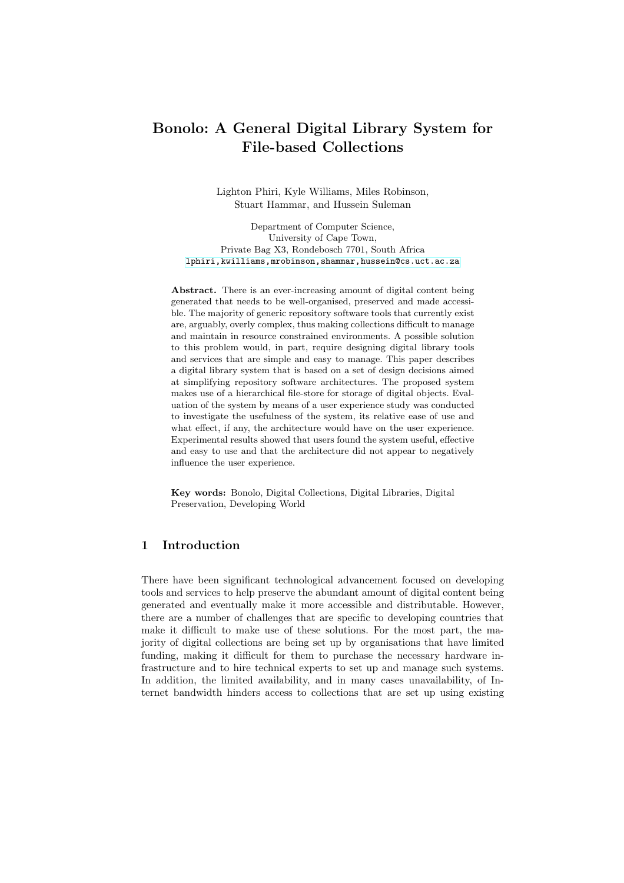# Bonolo: A General Digital Library System for File-based Collections

Lighton Phiri, Kyle Williams, Miles Robinson, Stuart Hammar, and Hussein Suleman

Department of Computer Science, University of Cape Town, Private Bag X3, Rondebosch 7701, South Africa [lphiri,kwilliams,mrobinson,shammar,hussein@cs.uct.ac.za]({lphiri,kwilliams,mrobinson,shammar,hussein}@cs.uct.ac.za)

Abstract. There is an ever-increasing amount of digital content being generated that needs to be well-organised, preserved and made accessible. The majority of generic repository software tools that currently exist are, arguably, overly complex, thus making collections difficult to manage and maintain in resource constrained environments. A possible solution to this problem would, in part, require designing digital library tools and services that are simple and easy to manage. This paper describes a digital library system that is based on a set of design decisions aimed at simplifying repository software architectures. The proposed system makes use of a hierarchical file-store for storage of digital objects. Evaluation of the system by means of a user experience study was conducted to investigate the usefulness of the system, its relative ease of use and what effect, if any, the architecture would have on the user experience. Experimental results showed that users found the system useful, effective and easy to use and that the architecture did not appear to negatively influence the user experience.

Key words: Bonolo, Digital Collections, Digital Libraries, Digital Preservation, Developing World

## 1 Introduction

There have been significant technological advancement focused on developing tools and services to help preserve the abundant amount of digital content being generated and eventually make it more accessible and distributable. However, there are a number of challenges that are specific to developing countries that make it difficult to make use of these solutions. For the most part, the majority of digital collections are being set up by organisations that have limited funding, making it difficult for them to purchase the necessary hardware infrastructure and to hire technical experts to set up and manage such systems. In addition, the limited availability, and in many cases unavailability, of Internet bandwidth hinders access to collections that are set up using existing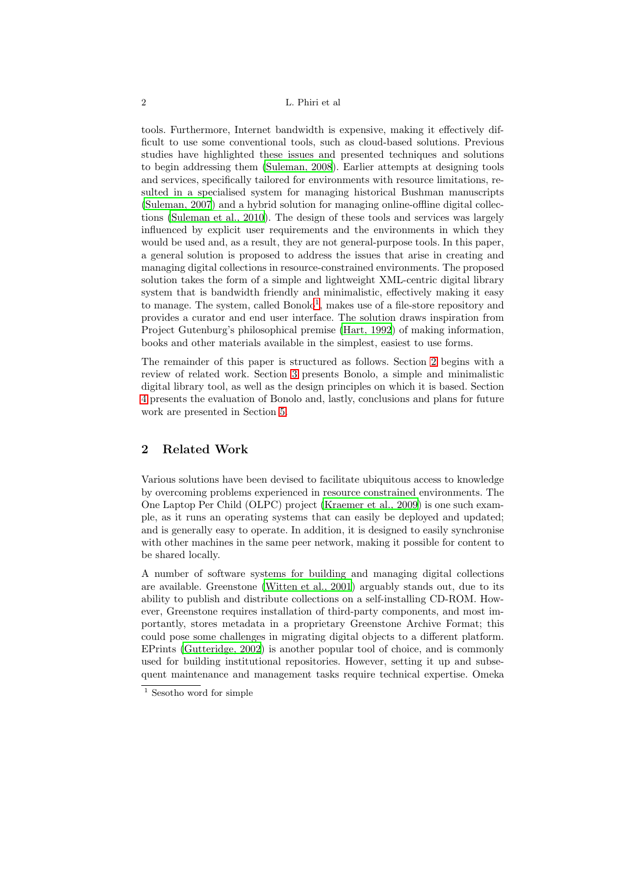tools. Furthermore, Internet bandwidth is expensive, making it effectively difficult to use some conventional tools, such as cloud-based solutions. Previous studies have highlighted these issues and presented techniques and solutions to begin addressing them [\(Suleman, 2008\)](#page-10-0). Earlier attempts at designing tools and services, specifically tailored for environments with resource limitations, resulted in a specialised system for managing historical Bushman manuscripts [\(Suleman, 2007\)](#page-10-1) and a hybrid solution for managing online-offline digital collections [\(Suleman et al., 2010\)](#page-10-2). The design of these tools and services was largely influenced by explicit user requirements and the environments in which they would be used and, as a result, they are not general-purpose tools. In this paper, a general solution is proposed to address the issues that arise in creating and managing digital collections in resource-constrained environments. The proposed solution takes the form of a simple and lightweight XML-centric digital library system that is bandwidth friendly and minimalistic, effectively making it easy to manage. The system, called Bonolo<sup>[1](#page-1-0)</sup>, makes use of a file-store repository and provides a curator and end user interface. The solution draws inspiration from Project Gutenburg's philosophical premise [\(Hart, 1992](#page-10-3)) of making information, books and other materials available in the simplest, easiest to use forms.

The remainder of this paper is structured as follows. Section [2](#page-1-1) begins with a review of related work. Section [3](#page-2-0) presents Bonolo, a simple and minimalistic digital library tool, as well as the design principles on which it is based. Section [4](#page-6-0) presents the evaluation of Bonolo and, lastly, conclusions and plans for future work are presented in Section [5.](#page-9-0)

## <span id="page-1-1"></span>2 Related Work

Various solutions have been devised to facilitate ubiquitous access to knowledge by overcoming problems experienced in resource constrained environments. The One Laptop Per Child (OLPC) project [\(Kraemer et al., 2009](#page-10-4)) is one such example, as it runs an operating systems that can easily be deployed and updated; and is generally easy to operate. In addition, it is designed to easily synchronise with other machines in the same peer network, making it possible for content to be shared locally.

A number of software systems for building and managing digital collections are available. Greenstone [\(Witten et al., 2001](#page-10-5)) arguably stands out, due to its ability to publish and distribute collections on a self-installing CD-ROM. However, Greenstone requires installation of third-party components, and most importantly, stores metadata in a proprietary Greenstone Archive Format; this could pose some challenges in migrating digital objects to a different platform. EPrints [\(Gutteridge, 2002\)](#page-10-6) is another popular tool of choice, and is commonly used for building institutional repositories. However, setting it up and subsequent maintenance and management tasks require technical expertise. Omeka

<span id="page-1-0"></span> $^{\rm 1}$  Sesotho word for simple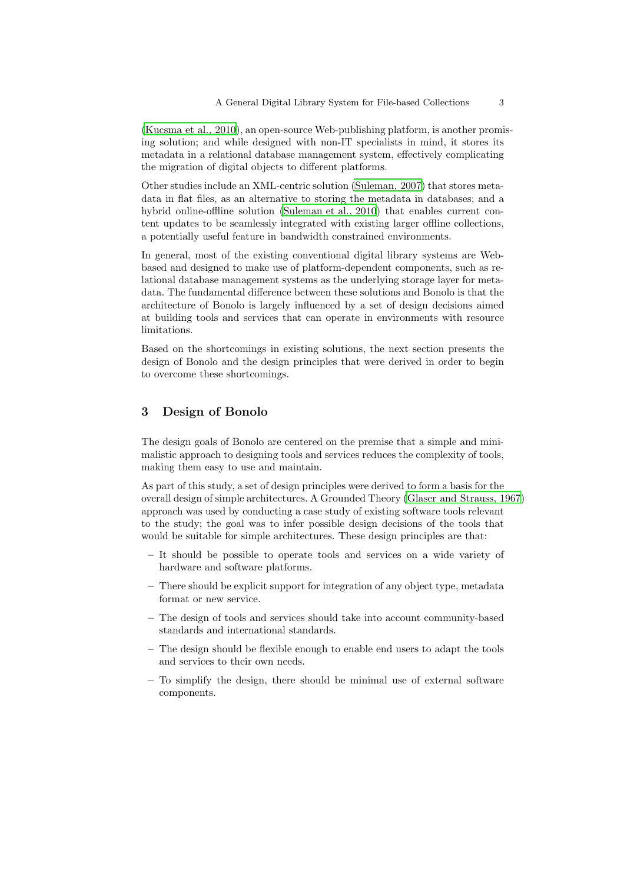[\(Kucsma et al., 2010](#page-10-7)), an open-source Web-publishing platform, is another promising solution; and while designed with non-IT specialists in mind, it stores its metadata in a relational database management system, effectively complicating the migration of digital objects to different platforms.

Other studies include an XML-centric solution [\(Suleman, 2007\)](#page-10-1) that stores metadata in flat files, as an alternative to storing the metadata in databases; and a hybrid online-offline solution [\(Suleman et al., 2010\)](#page-10-2) that enables current content updates to be seamlessly integrated with existing larger offline collections, a potentially useful feature in bandwidth constrained environments.

In general, most of the existing conventional digital library systems are Webbased and designed to make use of platform-dependent components, such as relational database management systems as the underlying storage layer for metadata. The fundamental difference between these solutions and Bonolo is that the architecture of Bonolo is largely influenced by a set of design decisions aimed at building tools and services that can operate in environments with resource limitations.

Based on the shortcomings in existing solutions, the next section presents the design of Bonolo and the design principles that were derived in order to begin to overcome these shortcomings.

## <span id="page-2-0"></span>3 Design of Bonolo

The design goals of Bonolo are centered on the premise that a simple and minimalistic approach to designing tools and services reduces the complexity of tools, making them easy to use and maintain.

As part of this study, a set of design principles were derived to form a basis for the overall design of simple architectures. A Grounded Theory [\(Glaser and Strauss, 1967\)](#page-9-1) approach was used by conducting a case study of existing software tools relevant to the study; the goal was to infer possible design decisions of the tools that would be suitable for simple architectures. These design principles are that:

- It should be possible to operate tools and services on a wide variety of hardware and software platforms.
- There should be explicit support for integration of any object type, metadata format or new service.
- The design of tools and services should take into account community-based standards and international standards.
- The design should be flexible enough to enable end users to adapt the tools and services to their own needs.
- To simplify the design, there should be minimal use of external software components.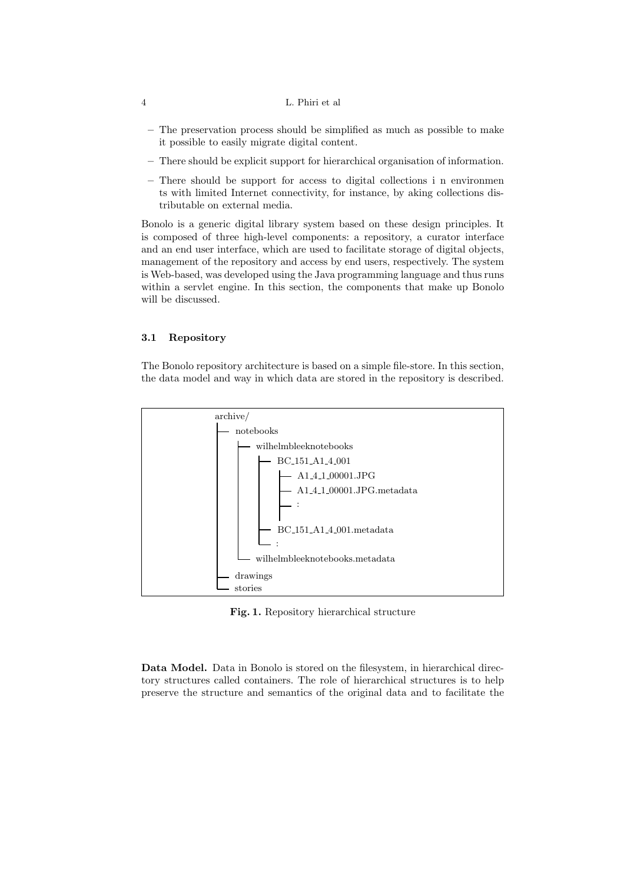#### 4 L. Phiri et al

- The preservation process should be simplified as much as possible to make it possible to easily migrate digital content.
- There should be explicit support for hierarchical organisation of information.
- There should be support for access to digital collections i n environmen ts with limited Internet connectivity, for instance, by aking collections distributable on external media.

Bonolo is a generic digital library system based on these design principles. It is composed of three high-level components: a repository, a curator interface and an end user interface, which are used to facilitate storage of digital objects, management of the repository and access by end users, respectively. The system is Web-based, was developed using the Java programming language and thus runs within a servlet engine. In this section, the components that make up Bonolo will be discussed.

## 3.1 Repository

The Bonolo repository architecture is based on a simple file-store. In this section, the data model and way in which data are stored in the repository is described.



<span id="page-3-0"></span>Fig. 1. Repository hierarchical structure

Data Model. Data in Bonolo is stored on the filesystem, in hierarchical directory structures called containers. The role of hierarchical structures is to help preserve the structure and semantics of the original data and to facilitate the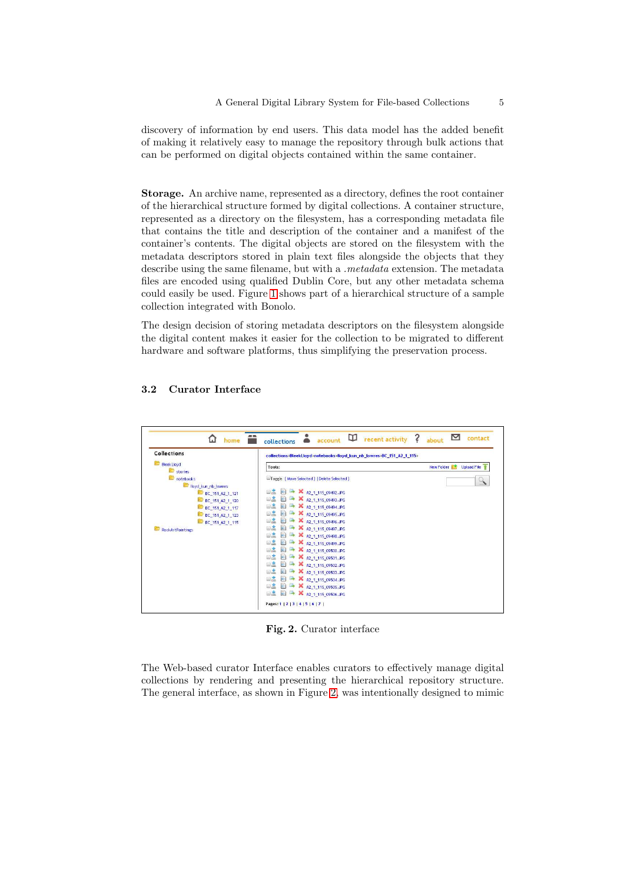discovery of information by end users. This data model has the added benefit of making it relatively easy to manage the repository through bulk actions that can be performed on digital objects contained within the same container.

Storage. An archive name, represented as a directory, defines the root container of the hierarchical structure formed by digital collections. A container structure, represented as a directory on the filesystem, has a corresponding metadata file that contains the title and description of the container and a manifest of the container's contents. The digital objects are stored on the filesystem with the metadata descriptors stored in plain text files alongside the objects that they describe using the same filename, but with a *.metadata* extension. The metadata files are encoded using qualified Dublin Core, but any other metadata schema could easily be used. Figure [1](#page-3-0) shows part of a hierarchical structure of a sample collection integrated with Bonolo.

The design decision of storing metadata descriptors on the filesystem alongside the digital content makes it easier for the collection to be migrated to different hardware and software platforms, thus simplifying the preservation process.

| <b>Collections</b>            | collections>BleekLloyd>notebooks>lloyd kun nb lowres>BC 151 A2 1 115> |                    |
|-------------------------------|-----------------------------------------------------------------------|--------------------|
| <b>Bleek Lloyd</b><br>stories | New Folder<br>Tools:                                                  | <b>Upload File</b> |
| notebooks                     | Toggle [Move Selected] [Delete Selected]                              |                    |
| lloyd_kun_nb_lowres           |                                                                       |                    |
| BC_151_A2_1_121               | $\Box$<br>A2 1 115 09492.JPG                                          |                    |
| BC 151 A2 1 120               | 82<br>A2_1_115_09493.JPG                                              |                    |
| BC_151_A2_1_117               | A2_1_115_09494.JPG<br>BÃ                                              |                    |
| BC_151_A2_1_123               | 82<br>A2_1_115_09495.JPG                                              |                    |
| BC_151_A2_1_115               | X A2_1_115_09496.JPG<br>8ž                                            |                    |
| <b>RockArtPaintings</b>       | 82<br>A A2_1_115_09497.JPG                                            |                    |
|                               | BŠ<br>A2_1_115_09498.JPG                                              |                    |
|                               | 82<br>X A2_1_115_09499.JPG                                            |                    |
|                               | OŽ.<br>X A2 1 115 09500.JPG                                           |                    |
|                               | 82<br>A2_1_115_09501.JPG                                              |                    |
|                               | gŻ,<br>A2_1_115_09502.JPG                                             |                    |
|                               | 82<br>A2_1_115_09503.JPG                                              |                    |
|                               | <b>DŠ</b><br>A2_1_115_09504.JPG                                       |                    |
|                               | 82<br>A2_1_115_09505.JPG<br>田                                         |                    |
|                               | X A2_1_115_09506.JPG<br><b>DA</b>                                     |                    |

## 3.2 Curator Interface

<span id="page-4-0"></span>Fig. 2. Curator interface

The Web-based curator Interface enables curators to effectively manage digital collections by rendering and presenting the hierarchical repository structure. The general interface, as shown in Figure [2,](#page-4-0) was intentionally designed to mimic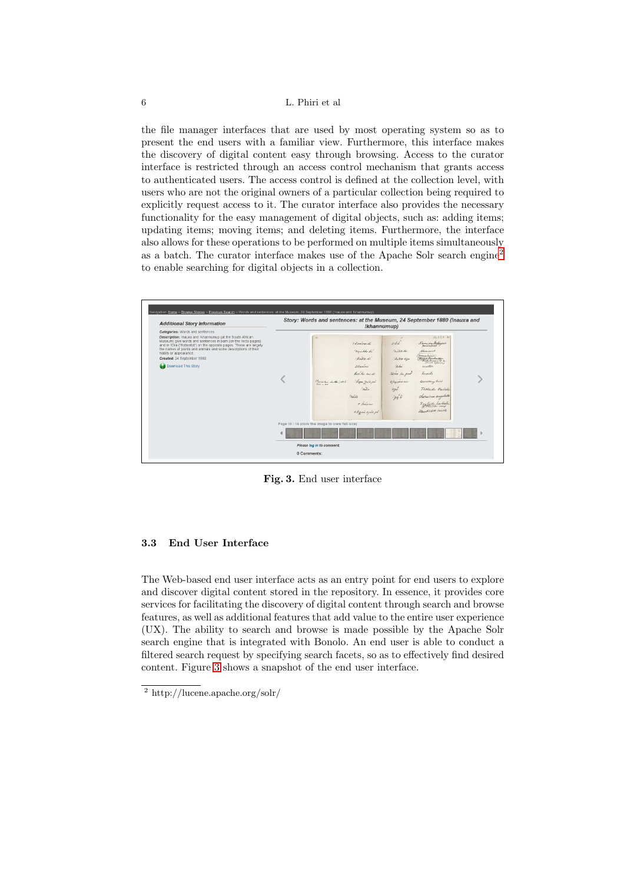#### 6 L. Phiri et al

the file manager interfaces that are used by most operating system so as to present the end users with a familiar view. Furthermore, this interface makes the discovery of digital content easy through browsing. Access to the curator interface is restricted through an access control mechanism that grants access to authenticated users. The access control is defined at the collection level, with users who are not the original owners of a particular collection being required to explicitly request access to it. The curator interface also provides the necessary functionality for the easy management of digital objects, such as: adding items; updating items; moving items; and deleting items. Furthermore, the interface also allows for these operations to be performed on multiple items simultaneously as a batch. The curator interface makes use of the Apache Solr search engine[2](#page-5-0) to enable searching for digital objects in a collection.



<span id="page-5-1"></span>Fig. 3. End user interface

#### 3.3 End User Interface

The Web-based end user interface acts as an entry point for end users to explore and discover digital content stored in the repository. In essence, it provides core services for facilitating the discovery of digital content through search and browse features, as well as additional features that add value to the entire user experience (UX). The ability to search and browse is made possible by the Apache Solr search engine that is integrated with Bonolo. An end user is able to conduct a filtered search request by specifying search facets, so as to effectively find desired content. Figure [3](#page-5-1) shows a snapshot of the end user interface.

<span id="page-5-0"></span><sup>2</sup> http://lucene.apache.org/solr/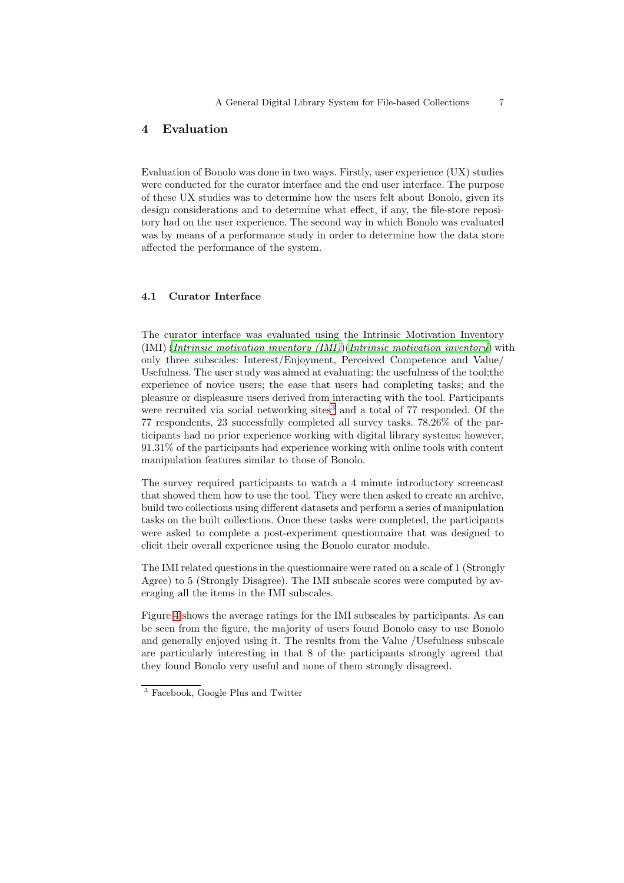## <span id="page-6-0"></span>4 Evaluation

Evaluation of Bonolo was done in two ways. Firstly, user experience (UX) studies were conducted for the curator interface and the end user interface. The purpose of these UX studies was to determine how the users felt about Bonolo, given its design considerations and to determine what effect, if any, the file-store repository had on the user experience. The second way in which Bonolo was evaluated was by means of a performance study in order to determine how the data store affected the performance of the system.

#### 4.1 Curator Interface

The curator interface was evaluated using the Intrinsic Motivation Inventory (IMI) (*[Intrinsic motivation inventory \(IMI\)](#page-10-8)*)(*[Intrinsic motivation inventory](#page-10-9)*) with only three subscales: Interest/Enjoyment, Perceived Competence and Value/ Usefulness. The user study was aimed at evaluating: the usefulness of the tool;the experience of novice users; the ease that users had completing tasks; and the pleasure or displeasure users derived from interacting with the tool. Participants were recruited via social networking sites $3$  and a total of 77 responded. Of the 77 respondents, 23 successfully completed all survey tasks. 78.26% of the participants had no prior experience working with digital library systems; however, 91.31% of the participants had experience working with online tools with content manipulation features similar to those of Bonolo.

The survey required participants to watch a 4 minute introductory screencast that showed them how to use the tool. They were then asked to create an archive, build two collections using different datasets and perform a series of manipulation tasks on the built collections. Once these tasks were completed, the participants were asked to complete a post-experiment questionnaire that was designed to elicit their overall experience using the Bonolo curator module.

The IMI related questions in the questionnaire were rated on a scale of 1 (Strongly Agree) to 5 (Strongly Disagree). The IMI subscale scores were computed by averaging all the items in the IMI subscales.

Figure [4](#page-7-0) shows the average ratings for the IMI subscales by participants. As can be seen from the figure, the majority of users found Bonolo easy to use Bonolo and generally enjoyed using it. The results from the Value /Usefulness subscale are particularly interesting in that 8 of the participants strongly agreed that they found Bonolo very useful and none of them strongly disagreed.

<span id="page-6-1"></span><sup>3</sup> Facebook, Google Plus and Twitter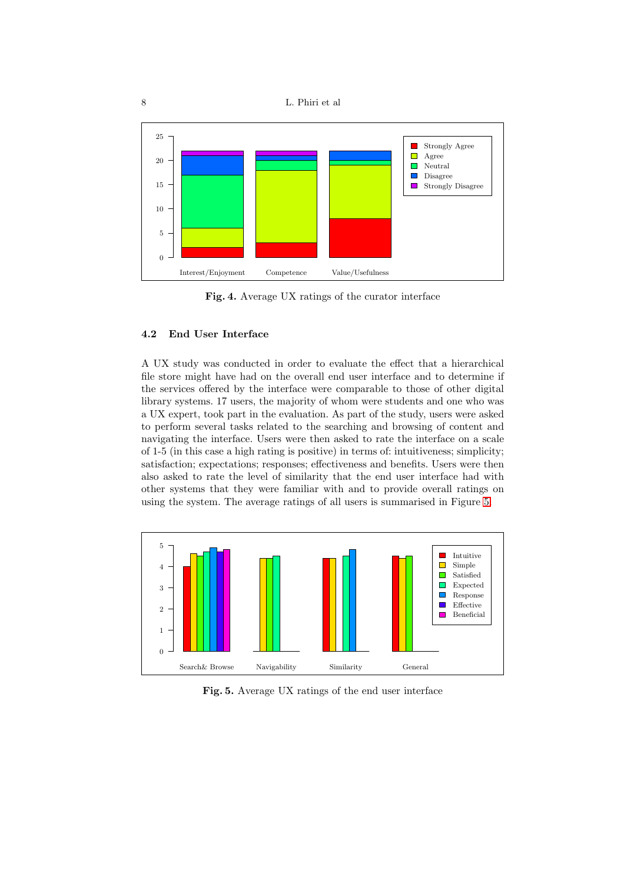



<span id="page-7-0"></span>Fig. 4. Average UX ratings of the curator interface

## 4.2 End User Interface

A UX study was conducted in order to evaluate the effect that a hierarchical file store might have had on the overall end user interface and to determine if the services offered by the interface were comparable to those of other digital library systems. 17 users, the majority of whom were students and one who was a UX expert, took part in the evaluation. As part of the study, users were asked to perform several tasks related to the searching and browsing of content and navigating the interface. Users were then asked to rate the interface on a scale of 1-5 (in this case a high rating is positive) in terms of: intuitiveness; simplicity; satisfaction; expectations; responses; effectiveness and benefits. Users were then also asked to rate the level of similarity that the end user interface had with other systems that they were familiar with and to provide overall ratings on using the system. The average ratings of all users is summarised in Figure [5.](#page-7-1)



<span id="page-7-1"></span>Fig. 5. Average UX ratings of the end user interface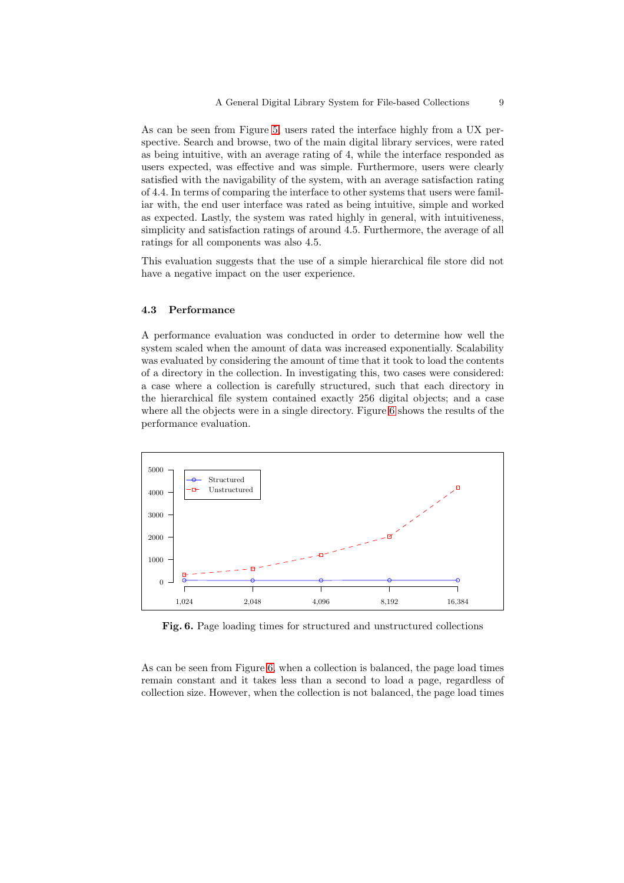As can be seen from Figure [5,](#page-7-1) users rated the interface highly from a UX perspective. Search and browse, two of the main digital library services, were rated as being intuitive, with an average rating of 4, while the interface responded as users expected, was effective and was simple. Furthermore, users were clearly satisfied with the navigability of the system, with an average satisfaction rating of 4.4. In terms of comparing the interface to other systems that users were familiar with, the end user interface was rated as being intuitive, simple and worked as expected. Lastly, the system was rated highly in general, with intuitiveness, simplicity and satisfaction ratings of around 4.5. Furthermore, the average of all ratings for all components was also 4.5.

This evaluation suggests that the use of a simple hierarchical file store did not have a negative impact on the user experience.

#### 4.3 Performance

A performance evaluation was conducted in order to determine how well the system scaled when the amount of data was increased exponentially. Scalability was evaluated by considering the amount of time that it took to load the contents of a directory in the collection. In investigating this, two cases were considered: a case where a collection is carefully structured, such that each directory in the hierarchical file system contained exactly 256 digital objects; and a case where all the objects were in a single directory. Figure [6](#page-8-0) shows the results of the performance evaluation.



<span id="page-8-0"></span>Fig. 6. Page loading times for structured and unstructured collections

As can be seen from Figure [6,](#page-8-0) when a collection is balanced, the page load times remain constant and it takes less than a second to load a page, regardless of collection size. However, when the collection is not balanced, the page load times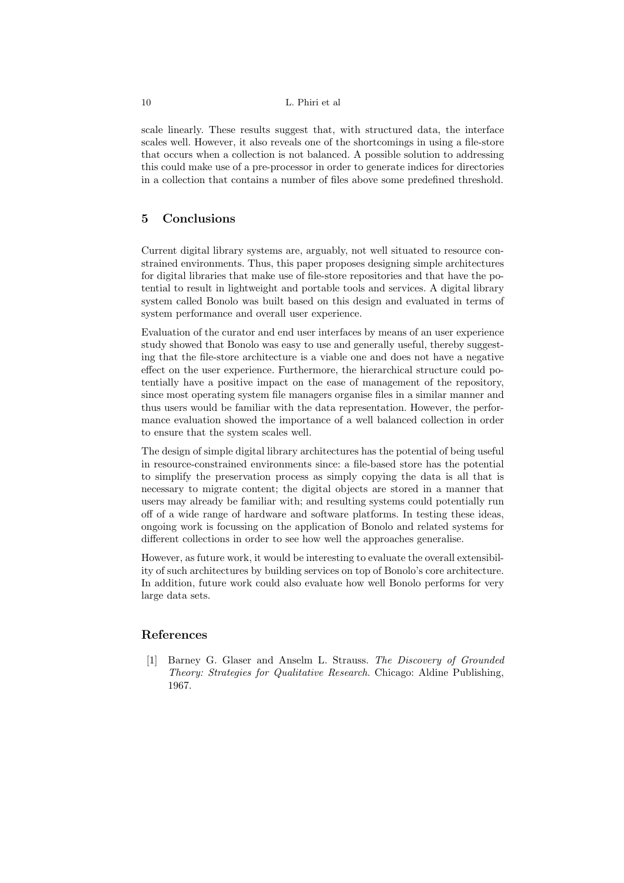#### 10 L. Phiri et al

scale linearly. These results suggest that, with structured data, the interface scales well. However, it also reveals one of the shortcomings in using a file-store that occurs when a collection is not balanced. A possible solution to addressing this could make use of a pre-processor in order to generate indices for directories in a collection that contains a number of files above some predefined threshold.

## <span id="page-9-0"></span>5 Conclusions

Current digital library systems are, arguably, not well situated to resource constrained environments. Thus, this paper proposes designing simple architectures for digital libraries that make use of file-store repositories and that have the potential to result in lightweight and portable tools and services. A digital library system called Bonolo was built based on this design and evaluated in terms of system performance and overall user experience.

Evaluation of the curator and end user interfaces by means of an user experience study showed that Bonolo was easy to use and generally useful, thereby suggesting that the file-store architecture is a viable one and does not have a negative effect on the user experience. Furthermore, the hierarchical structure could potentially have a positive impact on the ease of management of the repository, since most operating system file managers organise files in a similar manner and thus users would be familiar with the data representation. However, the performance evaluation showed the importance of a well balanced collection in order to ensure that the system scales well.

The design of simple digital library architectures has the potential of being useful in resource-constrained environments since: a file-based store has the potential to simplify the preservation process as simply copying the data is all that is necessary to migrate content; the digital objects are stored in a manner that users may already be familiar with; and resulting systems could potentially run off of a wide range of hardware and software platforms. In testing these ideas, ongoing work is focussing on the application of Bonolo and related systems for different collections in order to see how well the approaches generalise.

However, as future work, it would be interesting to evaluate the overall extensibility of such architectures by building services on top of Bonolo's core architecture. In addition, future work could also evaluate how well Bonolo performs for very large data sets.

## <span id="page-9-1"></span>References

[1] Barney G. Glaser and Anselm L. Strauss. *The Discovery of Grounded Theory: Strategies for Qualitative Research*. Chicago: Aldine Publishing, 1967.